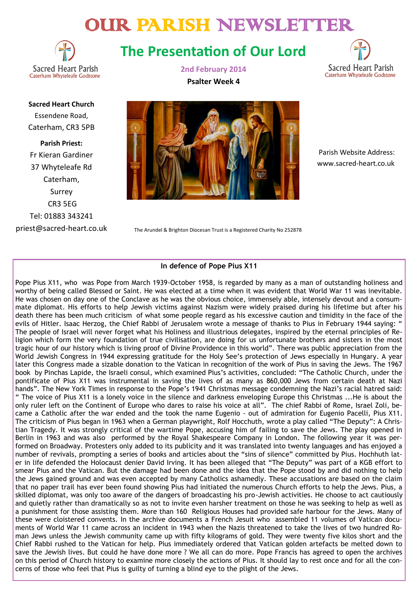# OUR PARISH NEWSLETTER



## **The Presentation of Our Lord**



**Sacred Heart Church** Essendene Road, Caterham, CR3 5PB

**Parish Priest:** Fr Kieran Gardiner 37 Whyteleafe Rd Caterham, Surrey CR3 5EG Tel: 01883 343241 priest@sacred-heart.co.uk **2nd February 2014 Psalter Week 4**



 Parish Website Address: www.sacred-heart.co.uk

The Arundel & Brighton Diocesan Trust is a Registered Charity No 252878

#### **In defence of Pope Pius X11**

Pope Pius X11, who was Pope from March 1939-October 1958, is regarded by many as a man of outstanding holiness and worthy of being called Blessed or Saint. He was elected at a time when it was evident that World War 11 was inevitable. He was chosen on day one of the Conclave as he was the obvious choice, immensely able, intensely devout and a consummate diplomat. His efforts to help Jewish victims against Nazism were widely praised during his lifetime but after his death there has been much criticism of what some people regard as his excessive caution and timidity in the face of the evils of Hitler. Isaac Herzog, the Chief Rabbi of Jerusalem wrote a message of thanks to Pius in February 1944 saying: " The people of Israel will never forget what his Holiness and illustrious delegates, inspired by the eternal principles of Religion which form the very foundation of true civilisation, are doing for us unfortunate brothers and sisters in the most tragic hour of our history which is living proof of Divine Providence in this world". There was public appreciation from the World Jewish Congress in 1944 expressing gratitude for the Holy See's protection of Jews especially in Hungary. A year later this Congress made a sizable donation to the Vatican in recognition of the work of Pius in saving the Jews. The 1967 book by Pinchas Lapide, the Israeli consul, which examined Pius's activities, concluded: "The Catholic Church, under the pontificate of Pius X11 was instrumental in saving the lives of as many as 860,000 Jews from certain death at Nazi hands". The New York Times in response to the Pope's 1941 Christmas message condemning the Nazi's racial hatred said: " The voice of Pius X11 is a lonely voice in the silence and darkness enveloping Europe this Christmas ...He is about the only ruler left on the Continent of Europe who dares to raise his voice at all". The chief Rabbi of Rome, Israel Zoli, became a Catholic after the war ended and the took the name Eugenio - out of admiration for Eugenio Pacelli, Pius X11. The criticism of Pius began in 1963 when a German playwright, Rolf Hocchuth, wrote a play called "The Deputy": A Christian Tragedy. It was strongly critical of the wartime Pope, accusing him of failing to save the Jews. The play opened in Berlin in 1963 and was also performed by the Royal Shakespeare Company in London. The following year it was performed on Broadway. Protesters only added to its publicity and it was translated into twenty languages and has enjoyed a number of revivals, prompting a series of books and articles about the "sins of silence" committed by Pius. Hochhuth later in life defended the Holocaust denier David Irving. It has been alleged that "The Deputy" was part of a KGB effort to smear Pius and the Vatican. But the damage had been done and the idea that the Pope stood by and did nothing to help the Jews gained ground and was even accepted by many Catholics ashamedly. These accusations are based on the claim that no paper trail has ever been found showing Pius had initiated the numerous Church efforts to help the Jews. Pius, a skilled diplomat, was only too aware of the dangers of broadcasting his pro-Jewish activities. He choose to act cautiously and quietly rather than dramatically so as not to invite even harsher treatment on those he was seeking to help as well as a punishment for those assisting them. More than 160 Religious Houses had provided safe harbour for the Jews. Many of these were cloistered convents. In the archive documents a French Jesuit who assembled 11 volumes of Vatican documents of World War 11 came across an incident in 1943 when the Nazis threatened to take the lives of two hundred Roman Jews unless the Jewish community came up with fifty kilograms of gold. They were twenty five kilos short and the Chief Rabbi rushed to the Vatican for help. Pius immediately ordered that Vatican golden artefacts be melted down to save the Jewish lives. But could he have done more ? We all can do more. Pope Francis has agreed to open the archives on this period of Church history to examine more closely the actions of Pius. It should lay to rest once and for all the concerns of those who feel that Pius is guilty of turning a blind eye to the plight of the Jews.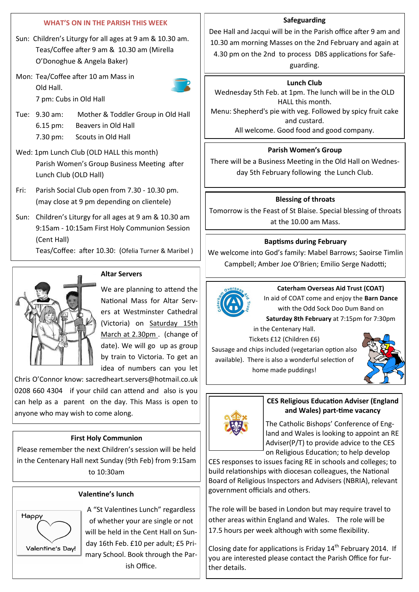## **WHAT'S ON IN THE PARISH THIS WEEK**

- Sun: Children's Liturgy for all ages at 9 am & 10.30 am. Teas/Coffee after 9 am & 10.30 am (Mirella O'Donoghue & Angela Baker)
- Mon: Tea/Coffee after 10 am Mass in Old Hall.

7 pm: Cubs in Old Hall



- Tue: 9.30 am: Mother & Toddler Group in Old Hall 6.15 pm: Beavers in Old Hall 7.30 pm: Scouts in Old Hall
- Wed: 1pm Lunch Club (OLD HALL this month) Parish Women's Group Business Meeting after Lunch Club (OLD Hall)
- Fri: Parish Social Club open from 7.30 10.30 pm. (may close at 9 pm depending on clientele)
- Sun: Children's Liturgy for all ages at 9 am & 10.30 am 9:15am - 10:15am First Holy Communion Session (Cent Hall)

Teas/Coffee: after 10.30: (Ofelia Turner & Maribel )



## **Altar Servers**

We are planning to attend the National Mass for Altar Servers at Westminster Cathedral (Victoria) on Saturday 15th March at 2.30pm . (change of date). We will go up as group by train to Victoria. To get an idea of numbers can you let

Chris O'Connor know: sacredheart.servers@hotmail.co.uk 0208 660 4304 if your child can attend and also is you can help as a parent on the day. This Mass is open to anyone who may wish to come along.

## **First Holy Communion**

Please remember the next Children's session will be held in the Centenary Hall next Sunday (9th Feb) from 9:15am to 10:30am

## **Valentine's lunch**



A "St Valentines Lunch" regardless of whether your are single or not will be held in the Cent Hall on Sunday 16th Feb. £10 per adult; £5 Primary School. Book through the Parish Office.

#### **Safeguarding**

Dee Hall and Jacqui will be in the Parish office after 9 am and 10.30 am morning Masses on the 2nd February and again at 4.30 pm on the 2nd to process DBS applications for Safe-

guarding.

#### **Lunch Club**

Wednesday 5th Feb. at 1pm. The lunch will be in the OLD HALL this month.

Menu: Shepherd's pie with veg. Followed by spicy fruit cake and custard.

All welcome. Good food and good company.

## **Parish Women's Group**

There will be a Business Meeting in the Old Hall on Wednesday 5th February following the Lunch Club.

## **Blessing of throats**

Tomorrow is the Feast of St Blaise. Special blessing of throats at the 10.00 am Mass.

## **Baptisms during February**

We welcome into God's family: Mabel Barrows; Saoirse Timlin Campbell; Amber Joe O'Brien; Emilio Serge Nadotti;



## **Caterham Overseas Aid Trust (COAT)**

In aid of COAT come and enjoy the **Barn Dance**  with the Odd Sock Doo Dum Band on

**Saturday 8th February** at 7:15pm for 7:30pm in the Centenary Hall.

Tickets £12 (Children £6)

Sausage and chips included (vegetarian option also available). There is also a wonderful selection of home made puddings!





## **CES Religious Education Adviser (England and Wales) part-time vacancy**

The Catholic Bishops' Conference of England and Wales is looking to appoint an RE Adviser(P/T) to provide advice to the CES on Religious Education; to help develop

CES responses to issues facing RE in schools and colleges; to build relationships with diocesan colleagues, the National Board of Religious Inspectors and Advisers (NBRIA), relevant government officials and others.

The role will be based in London but may require travel to other areas within England and Wales. The role will be 17.5 hours per week although with some flexibility.

Closing date for applications is Friday  $14<sup>th</sup>$  February 2014. If you are interested please contact the Parish Office for further details.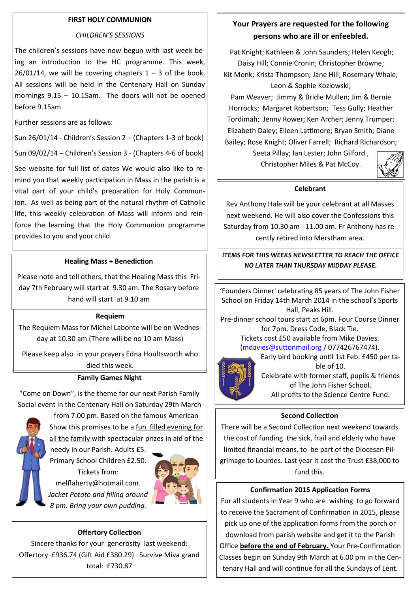#### **FIRST HOLY COMMUNION**

#### *CHILDREN'S SESSIONS*

The children's sessions have now begun with last week being an introduction to the HC programme. This week,  $26/01/14$ , we will be covering chapters  $1 - 3$  of the book. All sessions will be held in the Centenary Hall on Sunday mornings 9.15 – 10.15am. The doors will not be opened before 9.15am.

Further sessions are as follows:

Sun 26/01/14 - Children's Session 2 – (Chapters 1-3 of book)

Sun 09/02/14 – Children's Session 3 - (Chapters 4-6 of book)

See website for full list of dates We would also like to remind you that weekly participation in Mass in the parish is a vital part of your child's preparation for Holy Communion. As well as being part of the natural rhythm of Catholic life, this weekly celebration of Mass will inform and reinforce the learning that the Holy Communion programme provides to you and your child.

#### **Healing Mass + Benediction**

Please note and tell others, that the Healing Mass this Friday 7th February will start at 9.30 am. The Rosary before hand will start at 9.10 am

#### **Requiem**

The Requiem Mass for Michel Labonte will be on Wednesday at 10.30 am (There will be no 10 am Mass)

Please keep also in your prayers Edna Houltsworth who died this week.

#### **Family Games Night**

"Come on Down", is the theme for our next Parish Family Social event in the Centenary Hall on Saturday 29th March

> from 7.00 pm. Based on the famous American Show this promises to be a fun filled evening for all the family with spectacular prizes in aid of the

needy in our Parish. Adults £5. Primary School Children £2.50. Tickets from: melflaherty@hotmail.com. *Jacket Potato and filling around 8 pm. Bring your own pudding.* 



#### **Offertory Collection**

Sincere thanks for your generosity last weekend: Offertory £936.74 (Gift Aid £380.29) Survive Miva grand total: £730.87

## **Your Prayers are requested for the following persons who are ill or enfeebled.**

Pat Knight; Kathleen & John Saunders; Helen Keogh; Daisy Hill; Connie Cronin; Christopher Browne; Kit Monk; Krista Thompson; Jane Hill; Rosemary Whale; Leon & Sophie Kozlowski;

Pam Weaver; Jimmy & Bridie Mullen; Jim & Bernie Horrocks; Margaret Robertson; Tess Gully; Heather Tordimah; Jenny Rower; Ken Archer; Jenny Trumper; Elizabeth Daley; Eileen Lattimore; Bryan Smith; Diane Bailey; Rose Knight; Oliver Farrell; Richard Richardson;

> Seeta Pillay; Ian Lester; John Gilford , Christopher Miles & Pat McCoy.



#### **Celebrant**

Rev Anthony Hale will be your celebrant at all Masses next weekend. He will also cover the Confessions this Saturday from 10.30 am - 11.00 am. Fr Anthony has recently retired into Merstham area.

*ITEMS FOR THIS WEEKS NEWSLETTER TO REACH THE OFFICE NO LATER THAN THURSDAY MIDDAY PLEASE.* 

'Founders Dinner' celebrating 85 years of The John Fisher School on Friday 14th March 2014 in the school's Sports Hall, Peaks Hill.

Pre-dinner school tours start at 6pm. Four Course Dinner for 7pm. Dress Code, Black Tie. Tickets cost £50 available from Mike Davies.

([mdavies@suttonmail.org](mailto:mdavies@suttonmail.org) / 077426767474).

Early bird booking until 1st Feb: £450 per table of 10. Celebrate with former staff, pupils & friends of The John Fisher School. All profits to the Science Centre Fund.

## **Second Collection**

There will be a Second Collection next weekend towards the cost of funding the sick, frail and elderly who have limited financial means, to be part of the Diocesan Pilgrimage to Lourdes. Last year it cost the Trust £38,000 to fund this.

#### **Confirmation 2015 Application Forms**

For all students in Year 9 who are wishing to go forward to receive the Sacrament of Confirmation in 2015, please pick up one of the application forms from the porch or download from parish website and get it to the Parish Office **before the end of February.** Your Pre-Confirmation Classes begin on Sunday 9th March at 6.00 pm in the Centenary Hall and will continue for all the Sundays of Lent.